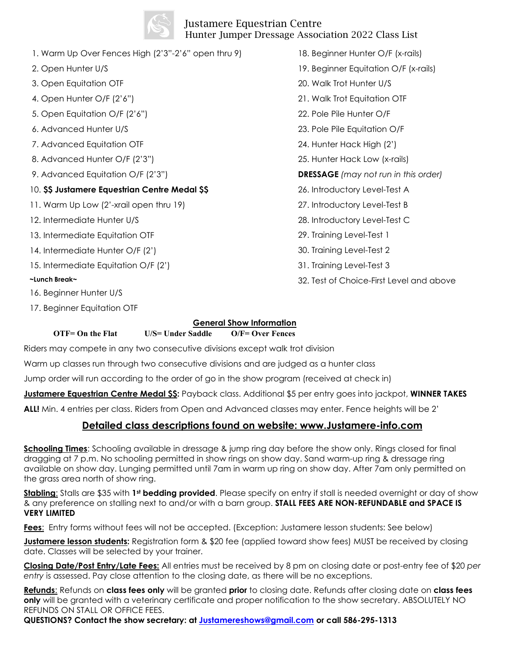## Justamere Equestrian Centre Hunter Jumper Dressage Association 2022 Class List

1. Warm Up Over Fences High (2'3"-2'6" open thru 9) 2. Open Hunter U/S 3. Open Equitation OTF 4. Open Hunter O/F (2'6") 5. Open Equitation O/F (2'6") 6. Advanced Hunter U/S 7. Advanced Equitation OTF 8. Advanced Hunter O/F (2'3") 9. Advanced Equitation O/F (2'3") 10. **\$\$ Justamere Equestrian Centre Medal \$\$** 11. Warm Up Low (2'-xrail open thru 19) 12. Intermediate Hunter U/S 13. Intermediate Equitation OTF 14. Intermediate Hunter O/F (2') 15. Intermediate Equitation O/F (2') **~Lunch Break~** 16. Beginner Hunter U/S 17. Beginner Equitation OTF

19. Beginner Equitation O/F (x-rails) 20. Walk Trot Hunter U/S 21. Walk Trot Equitation OTF 22. Pole Pile Hunter O/F 23. Pole Pile Equitation O/F 24. Hunter Hack High (2') 25. Hunter Hack Low (x-rails) **DRESSAGE** *(may not run in this order)* 26. Introductory Level-Test A 27. Introductory Level-Test B

18. Beginner Hunter O/F (x-rails)

- 28. Introductory Level-Test C
- 29. Training Level-Test 1
- 30. Training Level-Test 2
- 31. Training Level-Test 3
- 32. Test of Choice-First Level and above
- **OTF= On the Flat U/S= Under Saddle O/F= Over Fences** Riders may compete in any two consecutive divisions except walk trot division

Warm up classes run through two consecutive divisions and are judged as a hunter class

Jump order will run according to the order of go in the show program (received at check in)

**Justamere Equestrian Centre Medal \$\$:** Payback class. Additional \$5 per entry goes into jackpot, **WINNER TAKES** 

**General Show Information**

**ALL!** Min. 4 entries per class. Riders from Open and Advanced classes may enter. Fence heights will be 2'

## **Detailed class descriptions found on website: www.Justamere-info.com**

**Schooling Times**: Schooling available in dressage & jump ring day before the show only. Rings closed for final dragging at 7 p.m. No schooling permitted in show rings on show day. Sand warm-up ring & dressage ring available on show day. Lunging permitted until 7am in warm up ring on show day. After 7am only permitted on the grass area north of show ring.

**Stabling**: Stalls are \$35 with **1st bedding provided**. Please specify on entry if stall is needed overnight or day of show & any preference on stalling next to and/or with a barn group. **STALL FEES ARE NON-REFUNDABLE and SPACE IS VERY LIMITED**

**Fees**: Entry forms without fees will not be accepted. (Exception: Justamere lesson students: See below)

**Justamere lesson students:** Registration form & \$20 fee (applied toward show fees) MUST be received by closing date. Classes will be selected by your trainer.

**Closing Date/Post Entry/Late Fees:** All entries must be received by 8 pm on closing date or post-entry fee of \$20 *per entry* is assessed. Pay close attention to the closing date, as there will be no exceptions.

**Refunds**: Refunds on **class fees only** will be granted **prior** to closing date. Refunds after closing date on **class fees only** will be granted with a veterinary certificate and proper notification to the show secretary. ABSOLUTELY NO REFUNDS ON STALL OR OFFICE FEES.

**QUESTIONS? Contact the show secretary: at [Justamereshows@gmail.com](mailto:Justamereshows@gmail.com) or call 586-295-1313**